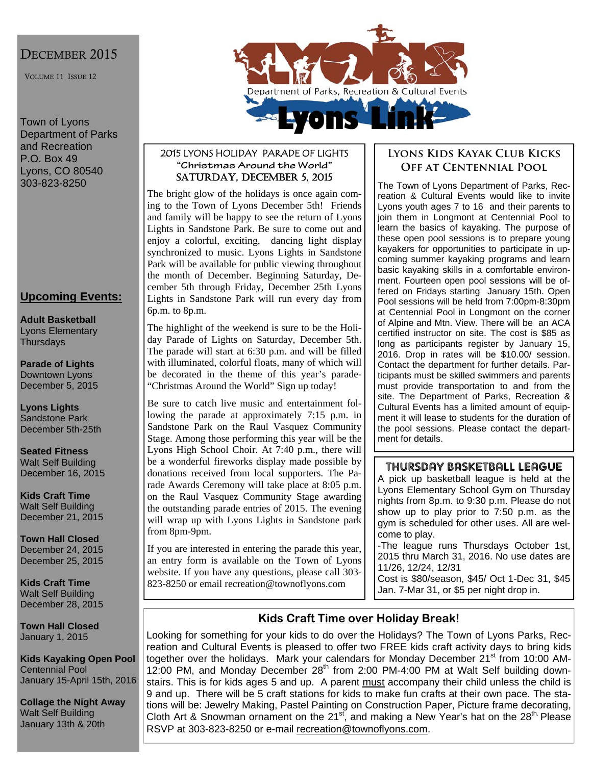### DECEMBER 2015

VOLUME 11 ISSUE 12

Town of Lyons Department of Parks and Recreation P.O. Box 49 Lyons, CO 80540 303-823-8250

### **Upcoming Events:**

**Adult Basketball**  Lyons Elementary **Thursdays** 

**Parade of Lights**  Downtown Lyons December 5, 2015

**Lyons Lights**  Sandstone Park December 5th-25th

**Seated Fitness**  Walt Self Building December 16, 2015

**Kids Craft Time**  Walt Self Building December 21, 2015

**Town Hall Closed**  December 24, 2015 December 25, 2015

**Kids Craft Time**  Walt Self Building December 28, 2015

**Town Hall Closed**  January 1, 2015

**Kids Kayaking Open Pool**  Centennial Pool January 15-April 15th, 2016

**Collage the Night Away**  Walt Self Building January 13th & 20th



#### 2015 LYONS HOLIDAY PARADE OF LIGHTS **"Christmas Around the World"**  SATURDAY, DECEMBER 5, 2015

The bright glow of the holidays is once again coming to the Town of Lyons December 5th! Friends and family will be happy to see the return of Lyons Lights in Sandstone Park. Be sure to come out and enjoy a colorful, exciting, dancing light display synchronized to music. Lyons Lights in Sandstone Park will be available for public viewing throughout the month of December. Beginning Saturday, December 5th through Friday, December 25th Lyons Lights in Sandstone Park will run every day from 6p.m. to 8p.m.

The highlight of the weekend is sure to be the Holiday Parade of Lights on Saturday, December 5th. The parade will start at 6:30 p.m. and will be filled with illuminated, colorful floats, many of which will be decorated in the theme of this year's parade- "Christmas Around the World" Sign up today!

Be sure to catch live music and entertainment following the parade at approximately 7:15 p.m. in Sandstone Park on the Raul Vasquez Community Stage. Among those performing this year will be the Lyons High School Choir. At 7:40 p.m., there will be a wonderful fireworks display made possible by donations received from local supporters. The Parade Awards Ceremony will take place at 8:05 p.m. on the Raul Vasquez Community Stage awarding the outstanding parade entries of 2015. The evening will wrap up with Lyons Lights in Sandstone park from 8pm-9pm.

If you are interested in entering the parade this year, an entry form is available on the Town of Lyons website. If you have any questions, please call 303- 823-8250 or email recreation@townoflyons.com

#### **Lyons Kids Kayak Club Kicks Off at Centennial Pool**

The Town of Lyons Department of Parks, Recreation & Cultural Events would like to invite Lyons youth ages 7 to 16 and their parents to join them in Longmont at Centennial Pool to learn the basics of kayaking. The purpose of these open pool sessions is to prepare young kayakers for opportunities to participate in upcoming summer kayaking programs and learn basic kayaking skills in a comfortable environment. Fourteen open pool sessions will be offered on Fridays starting January 15th. Open Pool sessions will be held from 7:00pm-8:30pm at Centennial Pool in Longmont on the corner of Alpine and Mtn. View. There will be an ACA certified instructor on site. The cost is \$85 as long as participants register by January 15, 2016. Drop in rates will be \$10.00/ session. Contact the department for further details. Participants must be skilled swimmers and parents must provide transportation to and from the site. The Department of Parks, Recreation & Cultural Events has a limited amount of equipment it will lease to students for the duration of the pool sessions. Please contact the department for details.

#### THURSDAY BASKETBALL LEAGUE

A pick up basketball league is held at the Lyons Elementary School Gym on Thursday nights from 8p.m. to 9:30 p.m. Please do not show up to play prior to 7:50 p.m. as the gym is scheduled for other uses. All are welcome to play.

-The league runs Thursdays October 1st, 2015 thru March 31, 2016. No use dates are 11/26, 12/24, 12/31

Cost is \$80/season, \$45/ Oct 1-Dec 31, \$45 Jan. 7-Mar 31, or \$5 per night drop in.

### **Kids Craft Time over Holiday Break!**

Looking for something for your kids to do over the Holidays? The Town of Lyons Parks, Recreation and Cultural Events is pleased to offer two FREE kids craft activity days to bring kids together over the holidays. Mark your calendars for Monday December 21<sup>st</sup> from 10:00 AM-12:00 PM, and Monday December 28<sup>th</sup> from 2:00 PM-4:00 PM at Walt Self building downstairs. This is for kids ages 5 and up. A parent must accompany their child unless the child is 9 and up. There will be 5 craft stations for kids to make fun crafts at their own pace. The stations will be: Jewelry Making, Pastel Painting on Construction Paper, Picture frame decorating, Cloth Art & Snowman ornament on the 21<sup>st</sup>, and making a New Year's hat on the 28<sup>th.</sup> Please RSVP at 303-823-8250 or e-mail recreation@townoflyons.com.